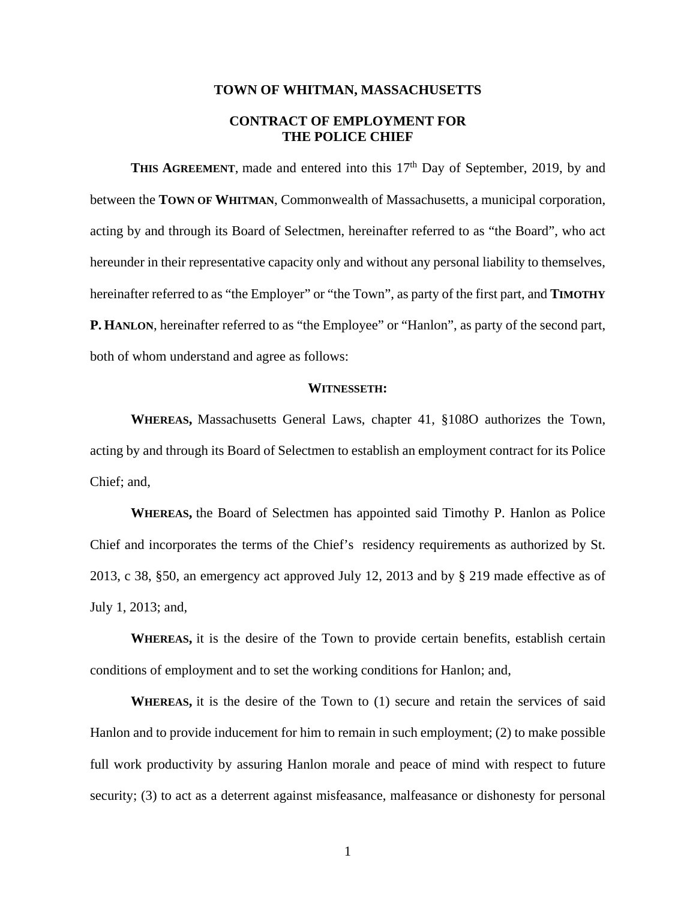#### **TOWN OF WHITMAN, MASSACHUSETTS**

# **CONTRACT OF EMPLOYMENT FOR THE POLICE CHIEF**

**THIS AGREEMENT**, made and entered into this 17<sup>th</sup> Day of September, 2019, by and between the **TOWN OF WHITMAN**, Commonwealth of Massachusetts, a municipal corporation, acting by and through its Board of Selectmen, hereinafter referred to as "the Board", who act hereunder in their representative capacity only and without any personal liability to themselves, hereinafter referred to as "the Employer" or "the Town", as party of the first part, and **TIMOTHY P. HANLON**, hereinafter referred to as "the Employee" or "Hanlon", as party of the second part, both of whom understand and agree as follows:

### **WITNESSETH:**

**WHEREAS,** Massachusetts General Laws, chapter 41, §108O authorizes the Town, acting by and through its Board of Selectmen to establish an employment contract for its Police Chief; and,

**WHEREAS,** the Board of Selectmen has appointed said Timothy P. Hanlon as Police Chief and incorporates the terms of the Chief's residency requirements as authorized by St. 2013, c 38, §50, an emergency act approved July 12, 2013 and by § 219 made effective as of July 1, 2013; and,

**WHEREAS,** it is the desire of the Town to provide certain benefits, establish certain conditions of employment and to set the working conditions for Hanlon; and,

**WHEREAS,** it is the desire of the Town to (1) secure and retain the services of said Hanlon and to provide inducement for him to remain in such employment; (2) to make possible full work productivity by assuring Hanlon morale and peace of mind with respect to future security; (3) to act as a deterrent against misfeasance, malfeasance or dishonesty for personal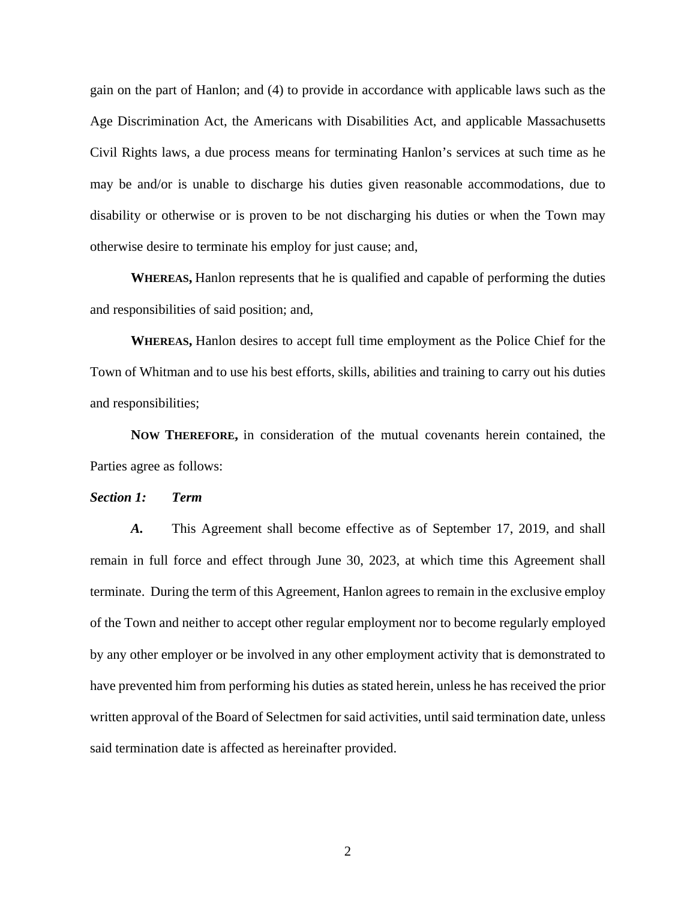gain on the part of Hanlon; and (4) to provide in accordance with applicable laws such as the Age Discrimination Act, the Americans with Disabilities Act, and applicable Massachusetts Civil Rights laws, a due process means for terminating Hanlon's services at such time as he may be and/or is unable to discharge his duties given reasonable accommodations, due to disability or otherwise or is proven to be not discharging his duties or when the Town may otherwise desire to terminate his employ for just cause; and,

**WHEREAS,** Hanlon represents that he is qualified and capable of performing the duties and responsibilities of said position; and,

**WHEREAS,** Hanlon desires to accept full time employment as the Police Chief for the Town of Whitman and to use his best efforts, skills, abilities and training to carry out his duties and responsibilities;

**NOW THEREFORE,** in consideration of the mutual covenants herein contained, the Parties agree as follows:

### *Section 1: Term*

*A.* This Agreement shall become effective as of September 17, 2019, and shall remain in full force and effect through June 30, 2023, at which time this Agreement shall terminate. During the term of this Agreement, Hanlon agrees to remain in the exclusive employ of the Town and neither to accept other regular employment nor to become regularly employed by any other employer or be involved in any other employment activity that is demonstrated to have prevented him from performing his duties as stated herein, unless he has received the prior written approval of the Board of Selectmen for said activities, until said termination date, unless said termination date is affected as hereinafter provided.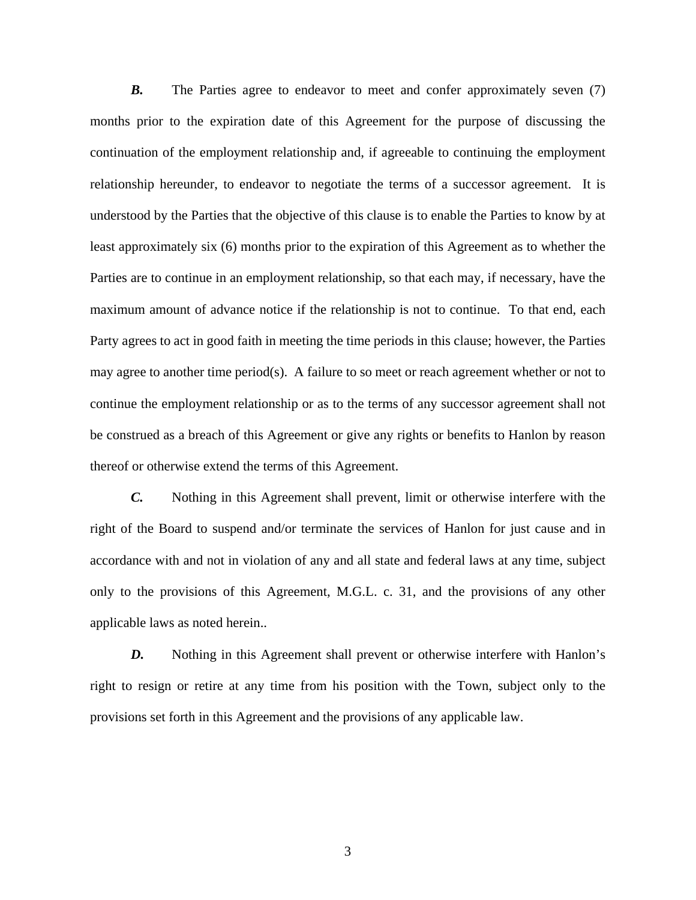*B.* The Parties agree to endeavor to meet and confer approximately seven (7) months prior to the expiration date of this Agreement for the purpose of discussing the continuation of the employment relationship and, if agreeable to continuing the employment relationship hereunder, to endeavor to negotiate the terms of a successor agreement. It is understood by the Parties that the objective of this clause is to enable the Parties to know by at least approximately six (6) months prior to the expiration of this Agreement as to whether the Parties are to continue in an employment relationship, so that each may, if necessary, have the maximum amount of advance notice if the relationship is not to continue. To that end, each Party agrees to act in good faith in meeting the time periods in this clause; however, the Parties may agree to another time period(s). A failure to so meet or reach agreement whether or not to continue the employment relationship or as to the terms of any successor agreement shall not be construed as a breach of this Agreement or give any rights or benefits to Hanlon by reason thereof or otherwise extend the terms of this Agreement.

*C.* Nothing in this Agreement shall prevent, limit or otherwise interfere with the right of the Board to suspend and/or terminate the services of Hanlon for just cause and in accordance with and not in violation of any and all state and federal laws at any time, subject only to the provisions of this Agreement, M.G.L. c. 31, and the provisions of any other applicable laws as noted herein..

*D.* Nothing in this Agreement shall prevent or otherwise interfere with Hanlon's right to resign or retire at any time from his position with the Town, subject only to the provisions set forth in this Agreement and the provisions of any applicable law.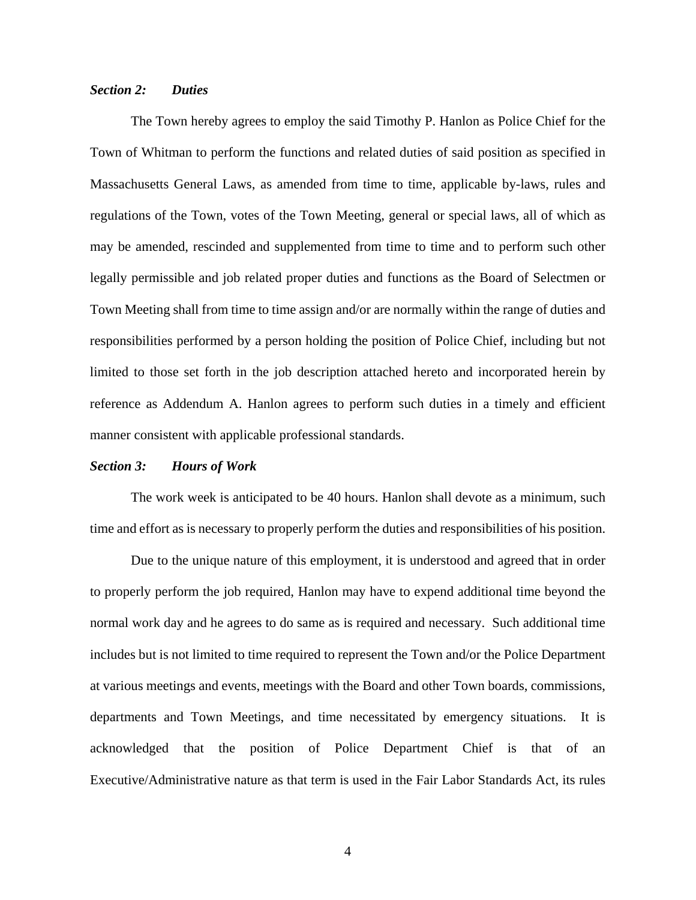### *Section 2: Duties*

 The Town hereby agrees to employ the said Timothy P. Hanlon as Police Chief for the Town of Whitman to perform the functions and related duties of said position as specified in Massachusetts General Laws, as amended from time to time, applicable by-laws, rules and regulations of the Town, votes of the Town Meeting, general or special laws, all of which as may be amended, rescinded and supplemented from time to time and to perform such other legally permissible and job related proper duties and functions as the Board of Selectmen or Town Meeting shall from time to time assign and/or are normally within the range of duties and responsibilities performed by a person holding the position of Police Chief, including but not limited to those set forth in the job description attached hereto and incorporated herein by reference as Addendum A. Hanlon agrees to perform such duties in a timely and efficient manner consistent with applicable professional standards.

### *Section 3: Hours of Work*

 The work week is anticipated to be 40 hours. Hanlon shall devote as a minimum, such time and effort as is necessary to properly perform the duties and responsibilities of his position.

 Due to the unique nature of this employment, it is understood and agreed that in order to properly perform the job required, Hanlon may have to expend additional time beyond the normal work day and he agrees to do same as is required and necessary. Such additional time includes but is not limited to time required to represent the Town and/or the Police Department at various meetings and events, meetings with the Board and other Town boards, commissions, departments and Town Meetings, and time necessitated by emergency situations. It is acknowledged that the position of Police Department Chief is that of an Executive/Administrative nature as that term is used in the Fair Labor Standards Act, its rules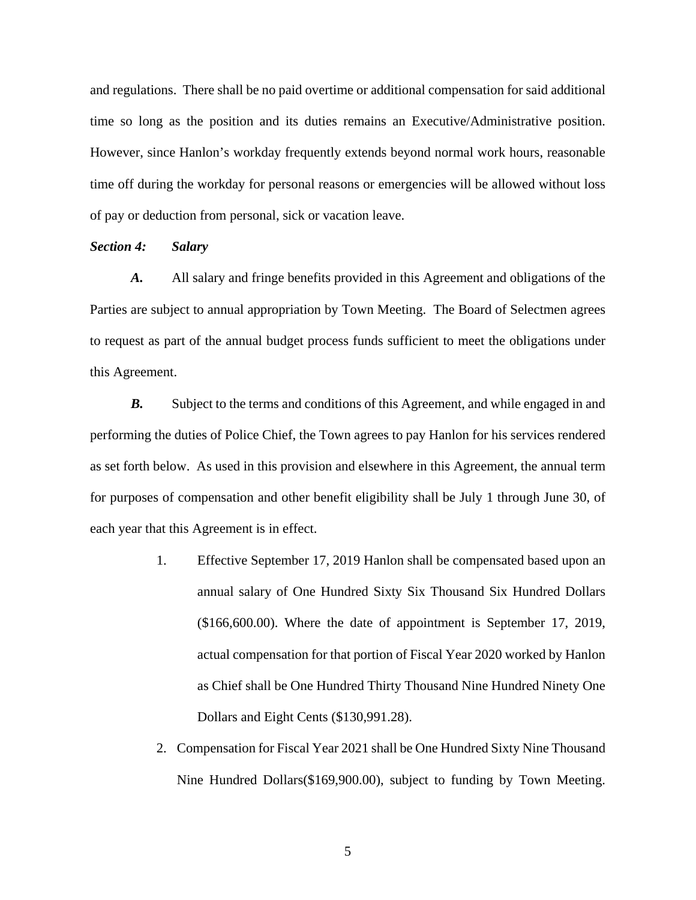and regulations. There shall be no paid overtime or additional compensation for said additional time so long as the position and its duties remains an Executive/Administrative position. However, since Hanlon's workday frequently extends beyond normal work hours, reasonable time off during the workday for personal reasons or emergencies will be allowed without loss of pay or deduction from personal, sick or vacation leave.

### *Section 4: Salary*

*A.* All salary and fringe benefits provided in this Agreement and obligations of the Parties are subject to annual appropriation by Town Meeting. The Board of Selectmen agrees to request as part of the annual budget process funds sufficient to meet the obligations under this Agreement.

**B.** Subject to the terms and conditions of this Agreement, and while engaged in and performing the duties of Police Chief, the Town agrees to pay Hanlon for his services rendered as set forth below. As used in this provision and elsewhere in this Agreement, the annual term for purposes of compensation and other benefit eligibility shall be July 1 through June 30, of each year that this Agreement is in effect.

- 1. Effective September 17, 2019 Hanlon shall be compensated based upon an annual salary of One Hundred Sixty Six Thousand Six Hundred Dollars (\$166,600.00). Where the date of appointment is September 17, 2019, actual compensation for that portion of Fiscal Year 2020 worked by Hanlon as Chief shall be One Hundred Thirty Thousand Nine Hundred Ninety One Dollars and Eight Cents (\$130,991.28).
- 2. Compensation for Fiscal Year 2021 shall be One Hundred Sixty Nine Thousand Nine Hundred Dollars(\$169,900.00), subject to funding by Town Meeting.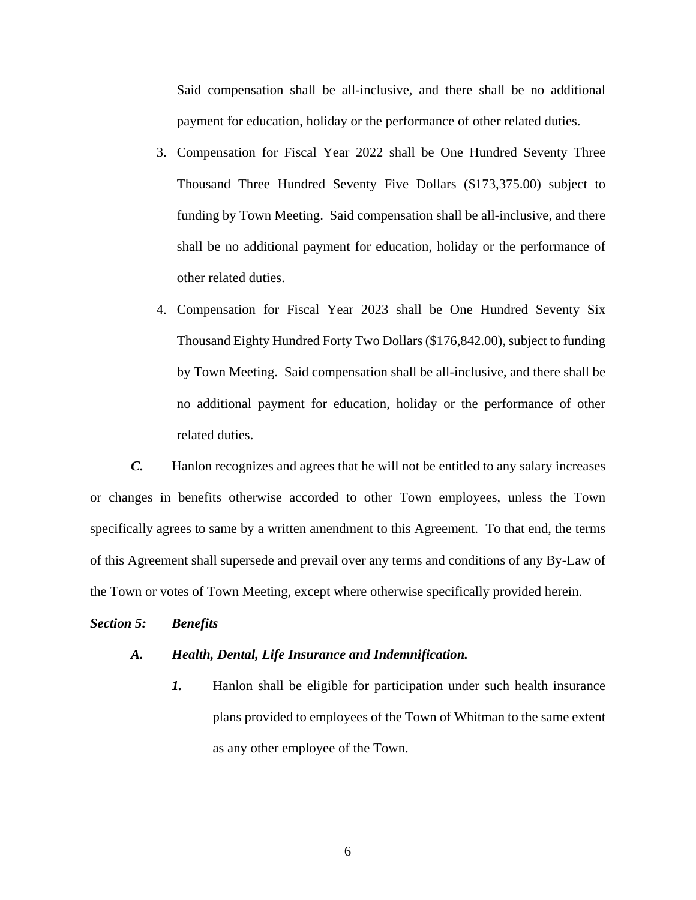Said compensation shall be all-inclusive, and there shall be no additional payment for education, holiday or the performance of other related duties.

- 3. Compensation for Fiscal Year 2022 shall be One Hundred Seventy Three Thousand Three Hundred Seventy Five Dollars (\$173,375.00) subject to funding by Town Meeting. Said compensation shall be all-inclusive, and there shall be no additional payment for education, holiday or the performance of other related duties.
- 4. Compensation for Fiscal Year 2023 shall be One Hundred Seventy Six Thousand Eighty Hundred Forty Two Dollars (\$176,842.00), subject to funding by Town Meeting. Said compensation shall be all-inclusive, and there shall be no additional payment for education, holiday or the performance of other related duties.

*C.* Hanlon recognizes and agrees that he will not be entitled to any salary increases or changes in benefits otherwise accorded to other Town employees, unless the Town specifically agrees to same by a written amendment to this Agreement. To that end, the terms of this Agreement shall supersede and prevail over any terms and conditions of any By-Law of the Town or votes of Town Meeting, except where otherwise specifically provided herein.

### *Section 5: Benefits*

#### *A. Health, Dental, Life Insurance and Indemnification.*

*1.* Hanlon shall be eligible for participation under such health insurance plans provided to employees of the Town of Whitman to the same extent as any other employee of the Town.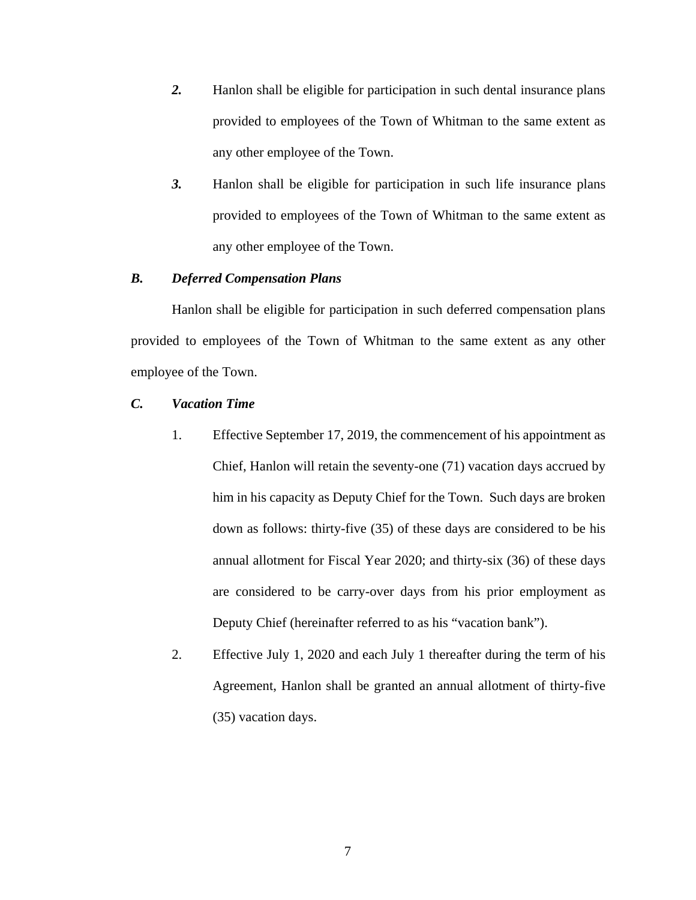- *2.* Hanlon shall be eligible for participation in such dental insurance plans provided to employees of the Town of Whitman to the same extent as any other employee of the Town.
- *3.* Hanlon shall be eligible for participation in such life insurance plans provided to employees of the Town of Whitman to the same extent as any other employee of the Town.

# *B. Deferred Compensation Plans*

 Hanlon shall be eligible for participation in such deferred compensation plans provided to employees of the Town of Whitman to the same extent as any other employee of the Town.

### *C. Vacation Time*

- 1. Effective September 17, 2019, the commencement of his appointment as Chief, Hanlon will retain the seventy-one (71) vacation days accrued by him in his capacity as Deputy Chief for the Town. Such days are broken down as follows: thirty-five (35) of these days are considered to be his annual allotment for Fiscal Year 2020; and thirty-six (36) of these days are considered to be carry-over days from his prior employment as Deputy Chief (hereinafter referred to as his "vacation bank").
- 2. Effective July 1, 2020 and each July 1 thereafter during the term of his Agreement, Hanlon shall be granted an annual allotment of thirty-five (35) vacation days.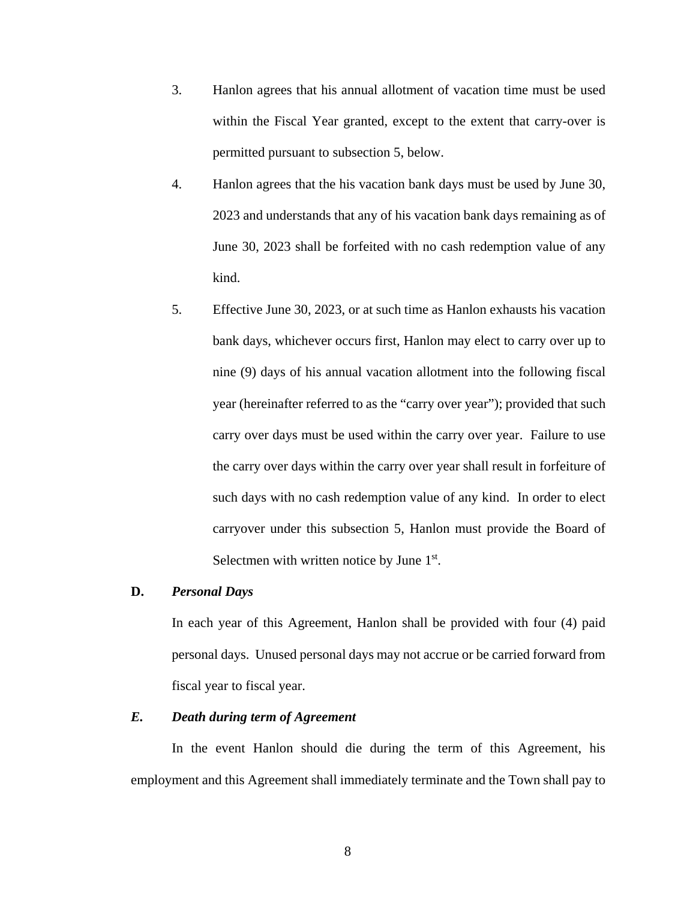- 3. Hanlon agrees that his annual allotment of vacation time must be used within the Fiscal Year granted, except to the extent that carry-over is permitted pursuant to subsection 5, below.
- 4. Hanlon agrees that the his vacation bank days must be used by June 30, 2023 and understands that any of his vacation bank days remaining as of June 30, 2023 shall be forfeited with no cash redemption value of any kind.
- 5. Effective June 30, 2023, or at such time as Hanlon exhausts his vacation bank days, whichever occurs first, Hanlon may elect to carry over up to nine (9) days of his annual vacation allotment into the following fiscal year (hereinafter referred to as the "carry over year"); provided that such carry over days must be used within the carry over year. Failure to use the carry over days within the carry over year shall result in forfeiture of such days with no cash redemption value of any kind. In order to elect carryover under this subsection 5, Hanlon must provide the Board of Selectmen with written notice by June 1<sup>st</sup>.

### **D.** *Personal Days*

In each year of this Agreement, Hanlon shall be provided with four (4) paid personal days. Unused personal days may not accrue or be carried forward from fiscal year to fiscal year.

### *E. Death during term of Agreement*

In the event Hanlon should die during the term of this Agreement, his employment and this Agreement shall immediately terminate and the Town shall pay to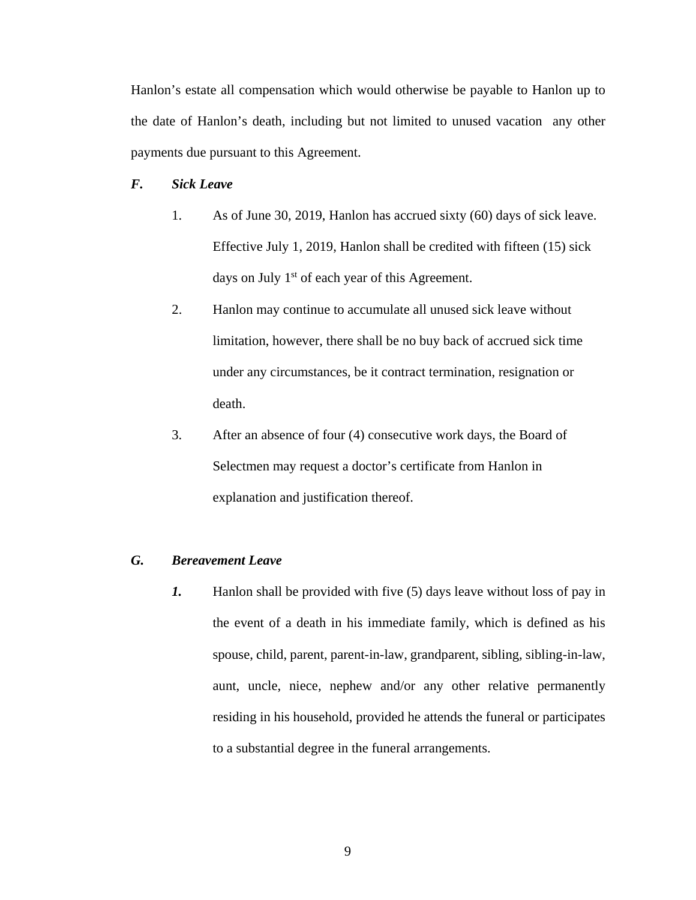Hanlon's estate all compensation which would otherwise be payable to Hanlon up to the date of Hanlon's death, including but not limited to unused vacation any other payments due pursuant to this Agreement.

# *F. Sick Leave*

- 1. As of June 30, 2019, Hanlon has accrued sixty (60) days of sick leave. Effective July 1, 2019, Hanlon shall be credited with fifteen (15) sick days on July  $1<sup>st</sup>$  of each year of this Agreement.
- 2. Hanlon may continue to accumulate all unused sick leave without limitation, however, there shall be no buy back of accrued sick time under any circumstances, be it contract termination, resignation or death.
- 3. After an absence of four (4) consecutive work days, the Board of Selectmen may request a doctor's certificate from Hanlon in explanation and justification thereof.

# *G. Bereavement Leave*

*1.* Hanlon shall be provided with five (5) days leave without loss of pay in the event of a death in his immediate family, which is defined as his spouse, child, parent, parent-in-law, grandparent, sibling, sibling-in-law, aunt, uncle, niece, nephew and/or any other relative permanently residing in his household, provided he attends the funeral or participates to a substantial degree in the funeral arrangements.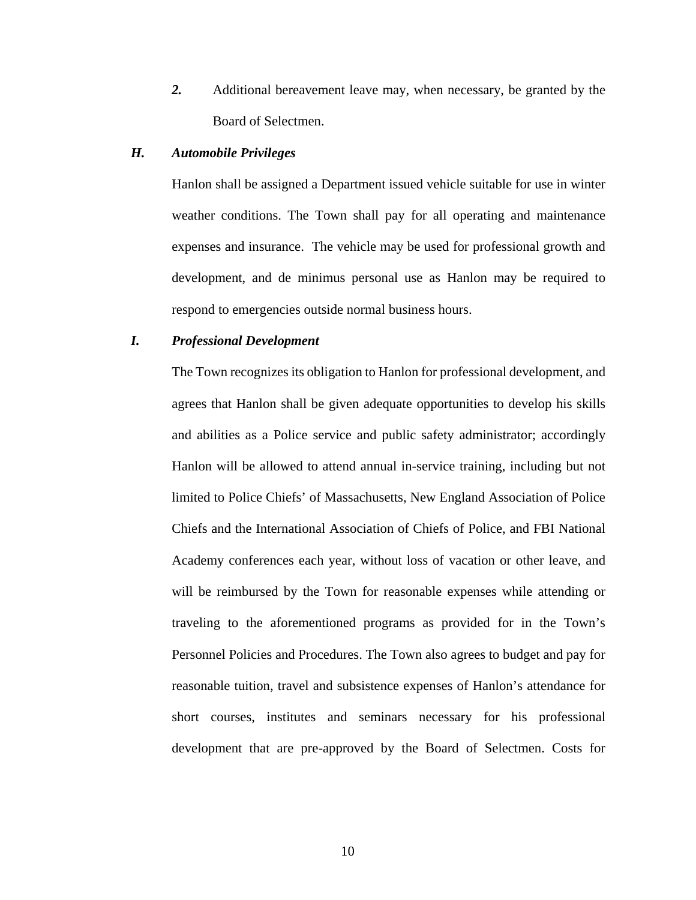*2.* Additional bereavement leave may, when necessary, be granted by the Board of Selectmen.

# *H. Automobile Privileges*

 Hanlon shall be assigned a Department issued vehicle suitable for use in winter weather conditions. The Town shall pay for all operating and maintenance expenses and insurance. The vehicle may be used for professional growth and development, and de minimus personal use as Hanlon may be required to respond to emergencies outside normal business hours.

### *I. Professional Development*

The Town recognizes its obligation to Hanlon for professional development, and agrees that Hanlon shall be given adequate opportunities to develop his skills and abilities as a Police service and public safety administrator; accordingly Hanlon will be allowed to attend annual in-service training, including but not limited to Police Chiefs' of Massachusetts, New England Association of Police Chiefs and the International Association of Chiefs of Police, and FBI National Academy conferences each year, without loss of vacation or other leave, and will be reimbursed by the Town for reasonable expenses while attending or traveling to the aforementioned programs as provided for in the Town's Personnel Policies and Procedures. The Town also agrees to budget and pay for reasonable tuition, travel and subsistence expenses of Hanlon's attendance for short courses, institutes and seminars necessary for his professional development that are pre-approved by the Board of Selectmen. Costs for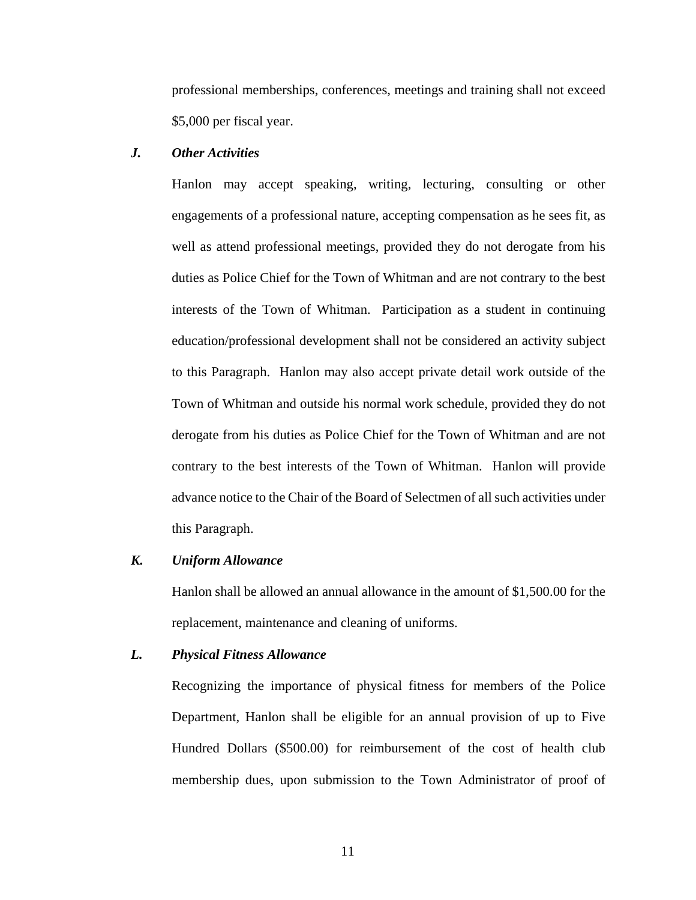professional memberships, conferences, meetings and training shall not exceed \$5,000 per fiscal year.

# *J. Other Activities*

Hanlon may accept speaking, writing, lecturing, consulting or other engagements of a professional nature, accepting compensation as he sees fit, as well as attend professional meetings, provided they do not derogate from his duties as Police Chief for the Town of Whitman and are not contrary to the best interests of the Town of Whitman. Participation as a student in continuing education/professional development shall not be considered an activity subject to this Paragraph. Hanlon may also accept private detail work outside of the Town of Whitman and outside his normal work schedule, provided they do not derogate from his duties as Police Chief for the Town of Whitman and are not contrary to the best interests of the Town of Whitman. Hanlon will provide advance notice to the Chair of the Board of Selectmen of all such activities under this Paragraph.

#### *K. Uniform Allowance*

Hanlon shall be allowed an annual allowance in the amount of \$1,500.00 for the replacement, maintenance and cleaning of uniforms.

### *L. Physical Fitness Allowance*

Recognizing the importance of physical fitness for members of the Police Department, Hanlon shall be eligible for an annual provision of up to Five Hundred Dollars (\$500.00) for reimbursement of the cost of health club membership dues, upon submission to the Town Administrator of proof of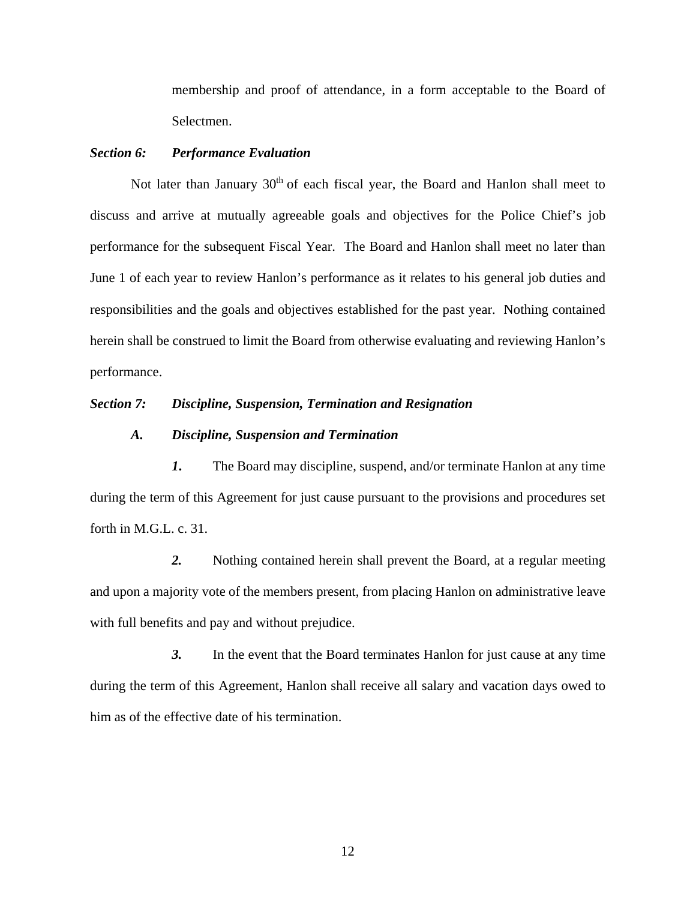membership and proof of attendance, in a form acceptable to the Board of Selectmen.

# *Section 6: Performance Evaluation*

Not later than January  $30<sup>th</sup>$  of each fiscal year, the Board and Hanlon shall meet to discuss and arrive at mutually agreeable goals and objectives for the Police Chief's job performance for the subsequent Fiscal Year. The Board and Hanlon shall meet no later than June 1 of each year to review Hanlon's performance as it relates to his general job duties and responsibilities and the goals and objectives established for the past year. Nothing contained herein shall be construed to limit the Board from otherwise evaluating and reviewing Hanlon's performance.

### *Section 7: Discipline, Suspension, Termination and Resignation*

### *A. Discipline, Suspension and Termination*

*1***.** The Board may discipline, suspend, and/or terminate Hanlon at any time during the term of this Agreement for just cause pursuant to the provisions and procedures set forth in M.G.L. c. 31.

 *2.* Nothing contained herein shall prevent the Board, at a regular meeting and upon a majority vote of the members present, from placing Hanlon on administrative leave with full benefits and pay and without prejudice.

 *3.* In the event that the Board terminates Hanlon for just cause at any time during the term of this Agreement, Hanlon shall receive all salary and vacation days owed to him as of the effective date of his termination.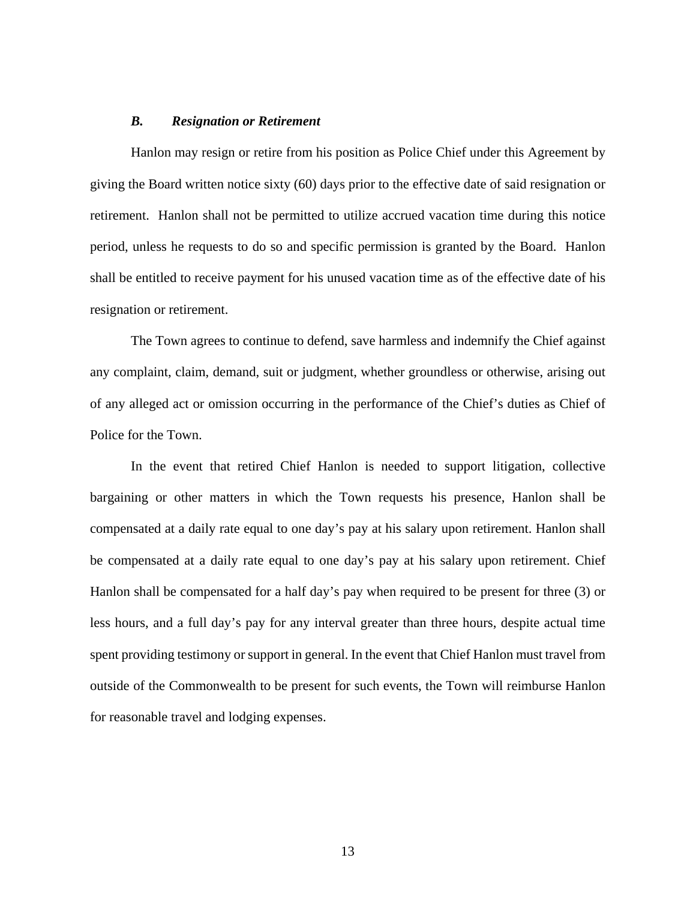#### *B. Resignation or Retirement*

 Hanlon may resign or retire from his position as Police Chief under this Agreement by giving the Board written notice sixty (60) days prior to the effective date of said resignation or retirement. Hanlon shall not be permitted to utilize accrued vacation time during this notice period, unless he requests to do so and specific permission is granted by the Board. Hanlon shall be entitled to receive payment for his unused vacation time as of the effective date of his resignation or retirement.

 The Town agrees to continue to defend, save harmless and indemnify the Chief against any complaint, claim, demand, suit or judgment, whether groundless or otherwise, arising out of any alleged act or omission occurring in the performance of the Chief's duties as Chief of Police for the Town.

In the event that retired Chief Hanlon is needed to support litigation, collective bargaining or other matters in which the Town requests his presence, Hanlon shall be compensated at a daily rate equal to one day's pay at his salary upon retirement. Hanlon shall be compensated at a daily rate equal to one day's pay at his salary upon retirement. Chief Hanlon shall be compensated for a half day's pay when required to be present for three (3) or less hours, and a full day's pay for any interval greater than three hours, despite actual time spent providing testimony or support in general. In the event that Chief Hanlon must travel from outside of the Commonwealth to be present for such events, the Town will reimburse Hanlon for reasonable travel and lodging expenses.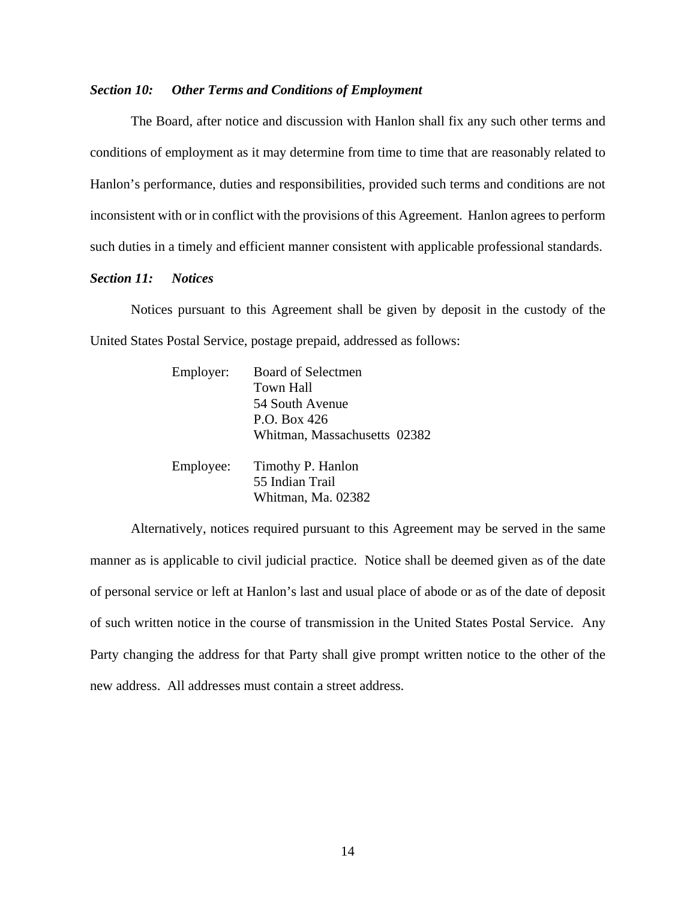### *Section 10: Other Terms and Conditions of Employment*

 The Board, after notice and discussion with Hanlon shall fix any such other terms and conditions of employment as it may determine from time to time that are reasonably related to Hanlon's performance, duties and responsibilities, provided such terms and conditions are not inconsistent with or in conflict with the provisions of this Agreement. Hanlon agrees to perform such duties in a timely and efficient manner consistent with applicable professional standards.

### *Section 11: Notices*

 Notices pursuant to this Agreement shall be given by deposit in the custody of the United States Postal Service, postage prepaid, addressed as follows:

| Employer: | <b>Board of Selectmen</b>    |
|-----------|------------------------------|
|           | <b>Town Hall</b>             |
|           | 54 South Avenue              |
|           | P.O. Box 426                 |
|           | Whitman, Massachusetts 02382 |
| Employee: | Timothy P. Hanlon            |
|           | 55 Indian Trail              |
|           | Whitman, Ma. 02382           |

 Alternatively, notices required pursuant to this Agreement may be served in the same manner as is applicable to civil judicial practice. Notice shall be deemed given as of the date of personal service or left at Hanlon's last and usual place of abode or as of the date of deposit of such written notice in the course of transmission in the United States Postal Service. Any Party changing the address for that Party shall give prompt written notice to the other of the new address. All addresses must contain a street address.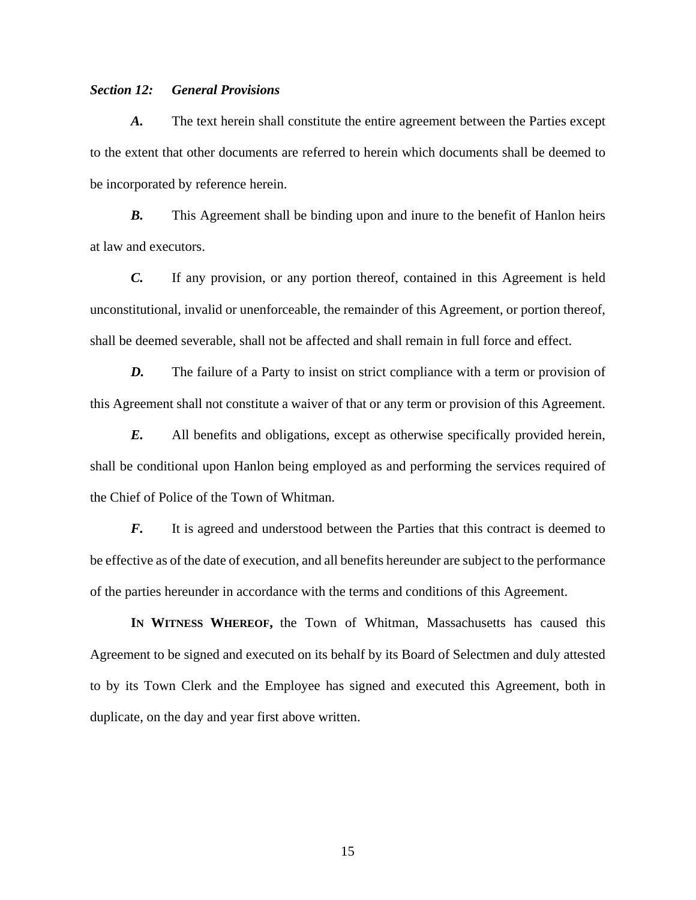# *Section 12: General Provisions*

*A.* The text herein shall constitute the entire agreement between the Parties except to the extent that other documents are referred to herein which documents shall be deemed to be incorporated by reference herein.

*B.* This Agreement shall be binding upon and inure to the benefit of Hanlon heirs at law and executors.

*C.* If any provision, or any portion thereof, contained in this Agreement is held unconstitutional, invalid or unenforceable, the remainder of this Agreement, or portion thereof, shall be deemed severable, shall not be affected and shall remain in full force and effect.

*D.* The failure of a Party to insist on strict compliance with a term or provision of this Agreement shall not constitute a waiver of that or any term or provision of this Agreement.

*E.* All benefits and obligations, except as otherwise specifically provided herein, shall be conditional upon Hanlon being employed as and performing the services required of the Chief of Police of the Town of Whitman.

*F.* It is agreed and understood between the Parties that this contract is deemed to be effective as of the date of execution, and all benefits hereunder are subject to the performance of the parties hereunder in accordance with the terms and conditions of this Agreement.

**IN WITNESS WHEREOF,** the Town of Whitman, Massachusetts has caused this Agreement to be signed and executed on its behalf by its Board of Selectmen and duly attested to by its Town Clerk and the Employee has signed and executed this Agreement, both in duplicate, on the day and year first above written.